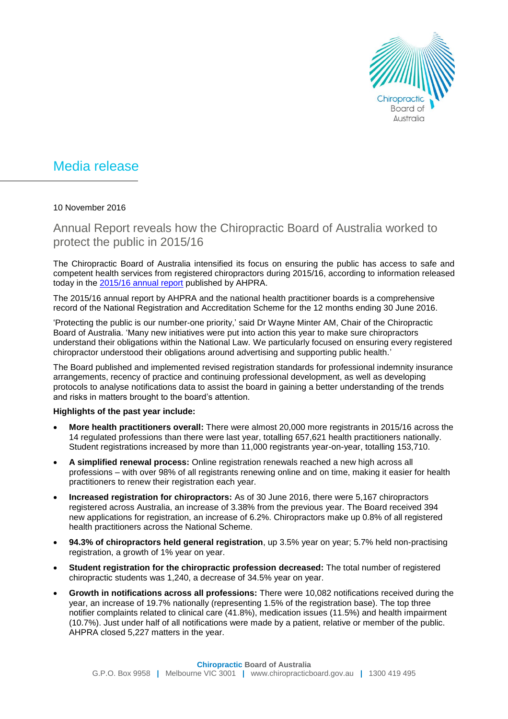

## Media release

## 10 November 2016

Annual Report reveals how the Chiropractic Board of Australia worked to protect the public in 2015/16

The Chiropractic Board of Australia intensified its focus on ensuring the public has access to safe and competent health services from registered chiropractors during 2015/16, according to information released today in the [2015/16 annual report](http://www.ahpra.gov.au/annualreport/2016) published by AHPRA.

The 2015/16 annual report by AHPRA and the national health practitioner boards is a comprehensive record of the National Registration and Accreditation Scheme for the 12 months ending 30 June 2016.

'Protecting the public is our number-one priority,' said Dr Wayne Minter AM, Chair of the Chiropractic Board of Australia. 'Many new initiatives were put into action this year to make sure chiropractors understand their obligations within the National Law. We particularly focused on ensuring every registered chiropractor understood their obligations around advertising and supporting public health.'

The Board published and implemented revised registration standards for professional indemnity insurance arrangements, recency of practice and continuing professional development, as well as developing protocols to analyse notifications data to assist the board in gaining a better understanding of the trends and risks in matters brought to the board's attention.

## **Highlights of the past year include:**

- **More health practitioners overall:** There were almost 20,000 more registrants in 2015/16 across the 14 regulated professions than there were last year, totalling 657,621 health practitioners nationally. Student registrations increased by more than 11,000 registrants year-on-year, totalling 153,710.
- **A simplified renewal process:** Online registration renewals reached a new high across all professions – with over 98% of all registrants renewing online and on time, making it easier for health practitioners to renew their registration each year.
- **Increased registration for chiropractors:** As of 30 June 2016, there were 5,167 chiropractors registered across Australia, an increase of 3.38% from the previous year. The Board received 394 new applications for registration, an increase of 6.2%. Chiropractors make up 0.8% of all registered health practitioners across the National Scheme.
- **94.3% of chiropractors held general registration**, up 3.5% year on year; 5.7% held non-practising registration, a growth of 1% year on year.
- **Student registration for the chiropractic profession decreased:** The total number of registered chiropractic students was 1,240, a decrease of 34.5% year on year.
- **Growth in notifications across all professions:** There were 10,082 notifications received during the year, an increase of 19.7% nationally (representing 1.5% of the registration base). The top three notifier complaints related to clinical care (41.8%), medication issues (11.5%) and health impairment (10.7%). Just under half of all notifications were made by a patient, relative or member of the public. AHPRA closed 5,227 matters in the year.